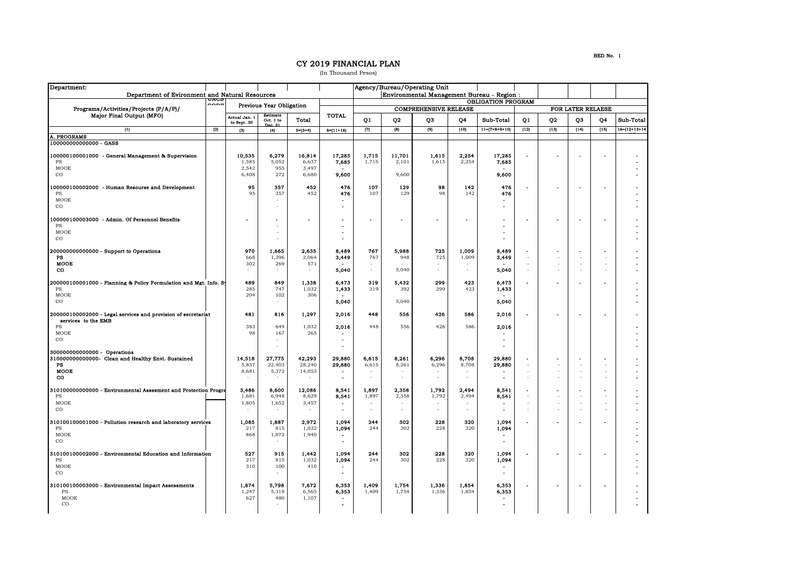## CY 2019 FINANCIAL PLAN

(In Thousand Pesos)

| Department:                                                                          |                |                                    |                          |                 |                 |                                            |                                                           | Agency/Bureau/Operating Unit |                |                          |                |                          |                          |        |                       |  |
|--------------------------------------------------------------------------------------|----------------|------------------------------------|--------------------------|-----------------|-----------------|--------------------------------------------|-----------------------------------------------------------|------------------------------|----------------|--------------------------|----------------|--------------------------|--------------------------|--------|-----------------------|--|
| Department of Evironment and Natural Resources<br>uacc                               |                |                                    |                          |                 |                 | Environmental Management Bureau - Region : |                                                           |                              |                |                          |                |                          |                          |        |                       |  |
| Programs/Activities/Projects (P/A/P)/<br>Major Final Output (MFO)                    |                | $\sim$<br>Previous Year Obligation |                          |                 |                 |                                            | <b>OBLIGATION PROGRAM</b><br><b>COMPREHENSIVE RELEASE</b> |                              |                |                          |                |                          |                          |        |                       |  |
|                                                                                      |                | Estimate<br><b>Actual Jan. 1</b>   |                          |                 | TOTAL           |                                            |                                                           |                              |                |                          |                |                          | FOR LATER RELAESE        |        |                       |  |
|                                                                                      |                | to Sept. 30                        | Oct. 1 to<br>Dec. 31     | Total           |                 | Q1                                         | Q <sub>2</sub>                                            | Q <sub>3</sub>               | Q4             | Sub-Total                | Q1             | Q <sub>2</sub>           | Q3                       | Q4     | Sub-Total             |  |
| $\overline{u}$                                                                       | $\overline{2}$ | (3)                                | (4)                      | $5 = (3 - 4)$   | $6 - (11 + 16)$ | $\overline{2}$                             | (8)                                                       | $\overline{191}$             | (10)           | $11-(7+8+9+10)$          | (12)           | (13)                     | (14)                     | (15)   | $16 - (12 + 13 + 14)$ |  |
| <b>PROGRAMS</b><br>00000000000000 - GASS                                             |                |                                    |                          |                 |                 |                                            |                                                           |                              |                |                          |                |                          |                          |        |                       |  |
|                                                                                      |                |                                    |                          |                 |                 |                                            |                                                           |                              |                |                          |                |                          |                          |        |                       |  |
| 00000100001000 - General Management & Supervision<br>PS                              |                | 10,535<br>1,585                    | 6,279<br>5,052           | 16,814<br>6,637 | 17,285<br>7,685 | 1,715<br>1,715                             | 11,701<br>2,101                                           | 1,615<br>1,615               | 2,254<br>2,254 | 17,285                   |                |                          |                          |        |                       |  |
| MOOE                                                                                 |                | 2,542                              | 955                      | 3,497           |                 |                                            |                                                           |                              |                | 7,685                    |                |                          |                          |        |                       |  |
| $_{\rm CO}$                                                                          |                | 6,408                              | 272                      | 6,680           | 9,600           |                                            | 9,600                                                     |                              |                | 9.600                    |                |                          |                          |        |                       |  |
| 00000100002000 - Human Resourse and Development                                      |                | 95                                 | 357                      | 452             | 476             | 107                                        | 129                                                       | 98                           | 142            | 476                      |                | $\overline{\phantom{a}}$ |                          |        |                       |  |
| PS                                                                                   |                | 95                                 | 357                      | 452             | 476             | 107                                        | 129                                                       | 98                           | 142            | 476                      |                |                          |                          |        |                       |  |
| MOOE                                                                                 |                |                                    |                          |                 |                 |                                            |                                                           |                              |                | $\blacksquare$           |                |                          |                          |        |                       |  |
| $_{\rm CO}$                                                                          |                |                                    |                          |                 |                 |                                            |                                                           |                              |                |                          |                |                          |                          |        |                       |  |
| 00000100003000 - Admin. Of Personnel Benefits                                        |                |                                    |                          |                 |                 |                                            |                                                           |                              |                |                          |                |                          |                          |        |                       |  |
| PS<br>MOOE                                                                           |                |                                    |                          |                 |                 |                                            |                                                           |                              |                | $\overline{\phantom{a}}$ |                |                          |                          |        |                       |  |
| $_{\rm CO}$                                                                          |                |                                    | ÷.                       |                 |                 |                                            |                                                           |                              |                | $\overline{a}$           |                |                          |                          |        |                       |  |
|                                                                                      |                | 970                                |                          |                 |                 | 767                                        |                                                           | 725                          |                |                          |                |                          |                          |        |                       |  |
| 200000000000000 - Support to Operations<br>PS                                        |                | 668                                | 1,665<br>1,396           | 2,635<br>2,064  | 8,489<br>3,449  | 767                                        | 5,988<br>948                                              | 725                          | 1,009<br>1,009 | 8,489<br>3,449           | $\sim$         | $\sim$                   |                          |        |                       |  |
| <b>MOOE</b>                                                                          |                | 302                                | 269                      | 571             |                 | ×                                          |                                                           |                              |                |                          |                | ä,                       | $\overline{\phantom{a}}$ |        |                       |  |
| $_{\rm co}$                                                                          |                | $\sim$                             | $\sim$                   | ٠               | 5,040           | $\sim$                                     | 5,040                                                     | $\sim$                       | $\sim$         | 5,040                    | $\sim$         | $\sim$                   | $\sim$                   | ÷.     |                       |  |
| 200000100001000 - Planning & Policy Formulation and Mgt. Info. Sy                    |                | 489                                | 849                      | 1,338           | 6,473           | 319                                        | 5,432                                                     | 299                          | 423            | 6,473                    | ÷              |                          |                          |        |                       |  |
| PS<br>MOOE                                                                           |                | 285<br>204                         | 747<br>102               | 1,032<br>306    | 1,433           | 319                                        | 392                                                       | 299                          | 423            | 1,433                    |                |                          |                          |        |                       |  |
| $_{\rm CO}$                                                                          |                |                                    | $\overline{\phantom{a}}$ |                 | 5,040           |                                            | 5,040                                                     |                              |                | 5,040                    |                |                          |                          |        |                       |  |
|                                                                                      |                |                                    |                          |                 |                 |                                            |                                                           |                              |                |                          |                |                          |                          |        |                       |  |
| 200000100002000 - Legal services and provision of secretariat<br>services to the EMB |                | 481                                | 816                      | 1,297           | 2,016           | 448                                        | 556                                                       | 426                          | 586            | 2,016                    |                | $\overline{\phantom{a}}$ |                          |        |                       |  |
| PS                                                                                   |                | 383                                | 649                      | 1,032           | 2,016           | 448                                        | 556                                                       | 426                          | 586            | 2,016                    |                |                          |                          |        |                       |  |
| MOOE<br>$_{\rm CO}$                                                                  |                | 98                                 | 167                      | 265             | $\blacksquare$  |                                            |                                                           |                              |                | $\sim$                   |                |                          |                          |        |                       |  |
|                                                                                      |                |                                    |                          |                 |                 |                                            |                                                           |                              |                | $\overline{a}$           |                |                          |                          |        |                       |  |
| 300000000000000 - Operations<br>310000000000000- Clean and Healthy Envi. Sustained   |                | 14,518                             | 27,775                   | 42,293          | 29,880          | 6,615                                      | 8,261                                                     | 6,296                        | 8,708          | 29,880                   |                |                          |                          |        |                       |  |
| PS                                                                                   |                | 5,837                              | 22,403                   | 28,240          | 29,880          | 6,615                                      | 8,261                                                     | 6,296                        | 8,708          | 29,880                   | ÷,             | $\sim$                   |                          |        |                       |  |
| <b>MOOE</b>                                                                          |                | 8,681                              | 5,372                    | 14,053          |                 | $\sim$                                     | $\sim$                                                    |                              | $\sim$         |                          | $\sim$         | $\sim$                   | $\sim$                   | $\sim$ |                       |  |
| co                                                                                   |                |                                    |                          | ÷.              | $\blacksquare$  | $\sim$                                     | $\sim$                                                    | $\sim$                       | ÷.             | $\blacksquare$           | ä,             |                          |                          |        |                       |  |
| 310100000000000 - Environmental Assssment and Protection Progre                      |                | 3,486                              | 8,600                    | 12,086          | 8,541           | 1,897                                      | 2,358                                                     | 1,792                        | 2,494          | 8,541                    |                |                          |                          |        |                       |  |
| PS<br>MOOE                                                                           |                | 1,681<br>1,805                     | 6,948<br>1,652           | 8,629<br>3,457  | 8,541           | 1,897<br>$\sim$                            | 2,358<br>$\sim$                                           | 1,792                        | 2,494          | 8,541                    | $\sim$         | $\sim$                   | ÷.                       |        |                       |  |
| $_{\rm CO}$                                                                          |                |                                    |                          |                 | $\blacksquare$  | $\sim$                                     | $\bar{\phantom{a}}$                                       | $\bar{ }$                    | $\sim$         | $\blacksquare$           |                | $\bar{a}$                |                          |        |                       |  |
|                                                                                      |                | 1,085                              | 1,887                    | 2,972           | 1,094           | 244                                        | 302                                                       | 228                          | 320            | 1,094                    |                |                          |                          |        |                       |  |
| 310100100001000 - Pollution research and laboratory services<br>PS                   |                | 217                                | 815                      | 1,032           | 1,094           | 244                                        | 302                                                       | 228                          | 320            | 1,094                    |                |                          |                          |        |                       |  |
| MOOE                                                                                 |                | 868                                | 1,072                    | 1,940           |                 |                                            |                                                           |                              |                |                          |                |                          |                          |        |                       |  |
| $_{\rm CO}$                                                                          |                |                                    | ÷.                       |                 | $\blacksquare$  |                                            |                                                           |                              |                | $\blacksquare$           |                |                          |                          |        |                       |  |
| 310100100002000 - Environmental Education and Information                            |                | 527                                | 915                      | 1,442           | 1,094           | 244                                        | 302                                                       | 228                          | 320            | 1,094                    | $\overline{a}$ | $\sim$                   |                          |        |                       |  |
| $_{\rm PS}$<br>MOOE                                                                  |                | 217<br>310                         | 815<br>100               | 1,032<br>410    | 1,094           | 244                                        | 302                                                       | 228                          | 320            | 1,094                    |                |                          |                          |        |                       |  |
| $_{\rm CO}$                                                                          |                |                                    |                          |                 | $\sim$          |                                            |                                                           |                              |                | $\blacksquare$           |                |                          |                          |        |                       |  |
|                                                                                      |                |                                    |                          |                 |                 |                                            |                                                           |                              |                |                          |                |                          |                          |        |                       |  |
| 310100100003000 - Environmental Impact Assessments<br>PS                             |                | 1,874<br>1,247                     | 5,798<br>5,318           | 7,672<br>6,565  | 6,353<br>6,353  | 1,409<br>1,409                             | 1,754<br>1,754                                            | 1,336<br>1,336               | 1,854<br>1,854 | 6,353<br>6,353           |                |                          |                          |        |                       |  |
| MOOE                                                                                 |                | 627                                | 480                      | 1,107           |                 |                                            |                                                           |                              |                |                          |                |                          |                          |        |                       |  |
| $_{\rm CO}$                                                                          |                |                                    |                          |                 |                 |                                            |                                                           |                              |                |                          |                |                          |                          |        |                       |  |
|                                                                                      |                |                                    |                          |                 |                 |                                            |                                                           |                              |                |                          |                |                          |                          |        |                       |  |

BED No. 1